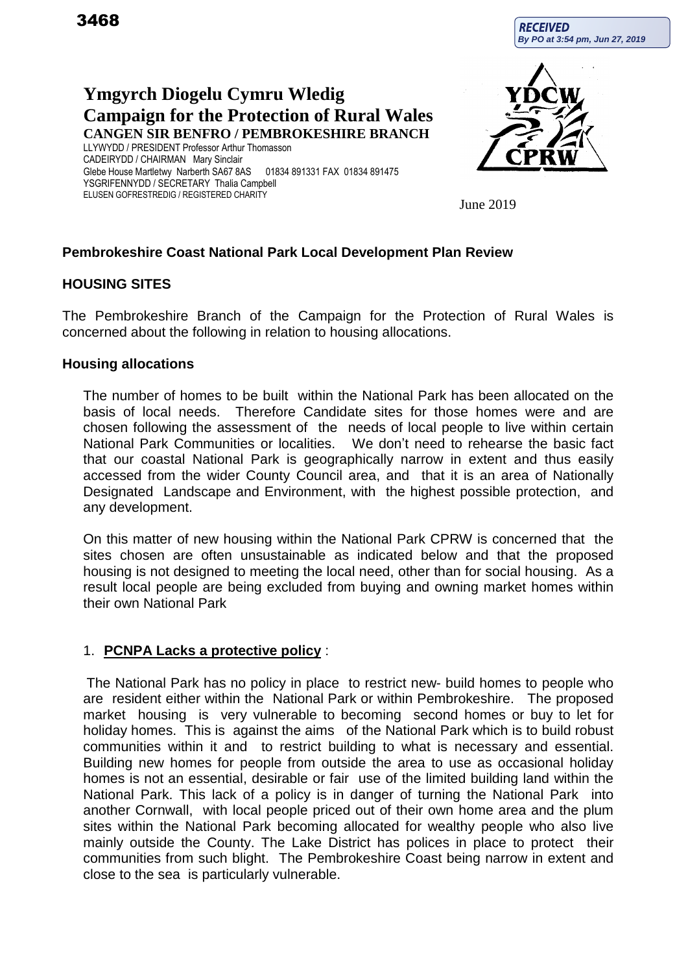**RECEIVED By PO at 3:54 pm, Jun 27, 2019**

# **Ymgyrch Diogelu Cymru Wledig Campaign for the Protection of Rural Wales CANGEN SIR BENFRO / PEMBROKESHIRE BRANCH**

LLYWYDD / PRESIDENT Professor Arthur Thomasson CADEIRYDD / CHAIRMAN Mary Sinclair Glebe House Martletwy Narberth SA67 8AS 01834 891331 FAX 01834 891475 YSGRIFENNYDD / SECRETARY Thalia Campbell ELUSEN GOFRESTREDIG / REGISTERED CHARITY



June 2019

# **Pembrokeshire Coast National Park Local Development Plan Review**

### **HOUSING SITES**

The Pembrokeshire Branch of the Campaign for the Protection of Rural Wales is concerned about the following in relation to housing allocations.

#### **Housing allocations**

The number of homes to be built within the National Park has been allocated on the basis of local needs. Therefore Candidate sites for those homes were and are chosen following the assessment of the needs of local people to live within certain National Park Communities or localities. We don't need to rehearse the basic fact that our coastal National Park is geographically narrow in extent and thus easily accessed from the wider County Council area, and that it is an area of Nationally Designated Landscape and Environment, with the highest possible protection, and any development.

On this matter of new housing within the National Park CPRW is concerned that the sites chosen are often unsustainable as indicated below and that the proposed housing is not designed to meeting the local need, other than for social housing. As a result local people are being excluded from buying and owning market homes within their own National Park

#### 1. **PCNPA Lacks a protective policy** :

The National Park has no policy in place to restrict new- build homes to people who are resident either within the National Park or within Pembrokeshire. The proposed market housing is very vulnerable to becoming second homes or buy to let for holiday homes. This is against the aims of the National Park which is to build robust communities within it and to restrict building to what is necessary and essential. Building new homes for people from outside the area to use as occasional holiday homes is not an essential, desirable or fair use of the limited building land within the National Park. This lack of a policy is in danger of turning the National Park into another Cornwall, with local people priced out of their own home area and the plum sites within the National Park becoming allocated for wealthy people who also live mainly outside the County. The Lake District has polices in place to protect their communities from such blight. The Pembrokeshire Coast being narrow in extent and close to the sea is particularly vulnerable.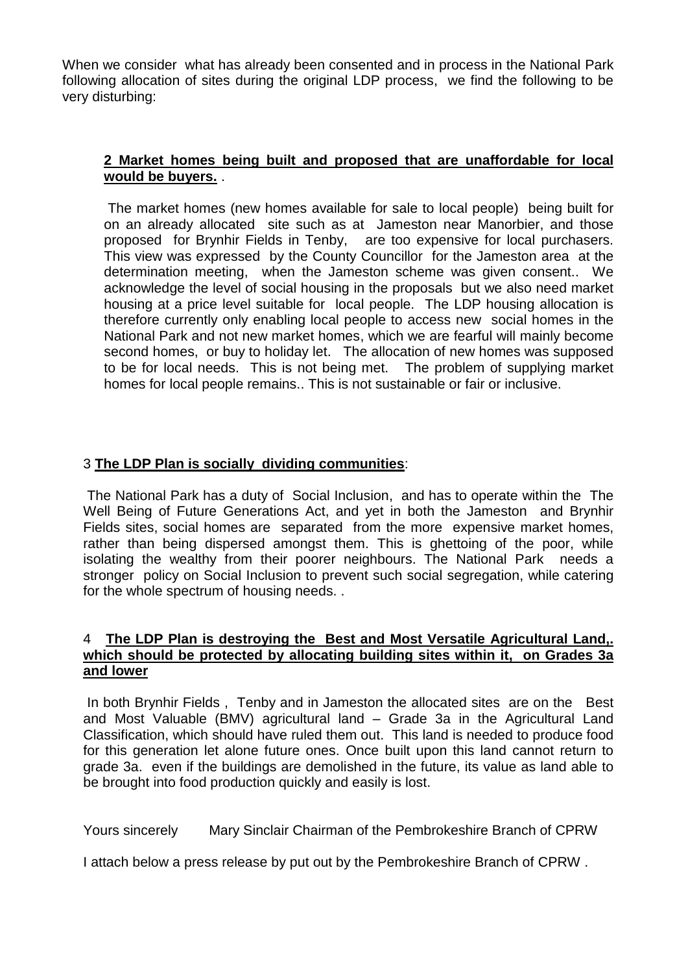When we consider what has already been consented and in process in the National Park following allocation of sites during the original LDP process, we find the following to be very disturbing:

## **2 Market homes being built and proposed that are unaffordable for local would be buyers.** .

The market homes (new homes available for sale to local people) being built for on an already allocated site such as at Jameston near Manorbier, and those proposed for Brynhir Fields in Tenby, are too expensive for local purchasers. This view was expressed by the County Councillor for the Jameston area at the determination meeting, when the Jameston scheme was given consent.. We acknowledge the level of social housing in the proposals but we also need market housing at a price level suitable for local people. The LDP housing allocation is therefore currently only enabling local people to access new social homes in the National Park and not new market homes, which we are fearful will mainly become second homes, or buy to holiday let. The allocation of new homes was supposed to be for local needs. This is not being met. The problem of supplying market homes for local people remains.. This is not sustainable or fair or inclusive.

# 3 **The LDP Plan is socially dividing communities**:

The National Park has a duty of Social Inclusion, and has to operate within the The Well Being of Future Generations Act, and yet in both the Jameston and Brynhir Fields sites, social homes are separated from the more expensive market homes, rather than being dispersed amongst them. This is ghettoing of the poor, while isolating the wealthy from their poorer neighbours. The National Park needs a stronger policy on Social Inclusion to prevent such social segregation, while catering for the whole spectrum of housing needs. .

### 4 **The LDP Plan is destroying the Best and Most Versatile Agricultural Land,. which should be protected by allocating building sites within it, on Grades 3a and lower**

In both Brynhir Fields , Tenby and in Jameston the allocated sites are on the Best and Most Valuable (BMV) agricultural land – Grade 3a in the Agricultural Land Classification, which should have ruled them out. This land is needed to produce food for this generation let alone future ones. Once built upon this land cannot return to grade 3a. even if the buildings are demolished in the future, its value as land able to be brought into food production quickly and easily is lost.

Yours sincerely Mary Sinclair Chairman of the Pembrokeshire Branch of CPRW

I attach below a press release by put out by the Pembrokeshire Branch of CPRW .